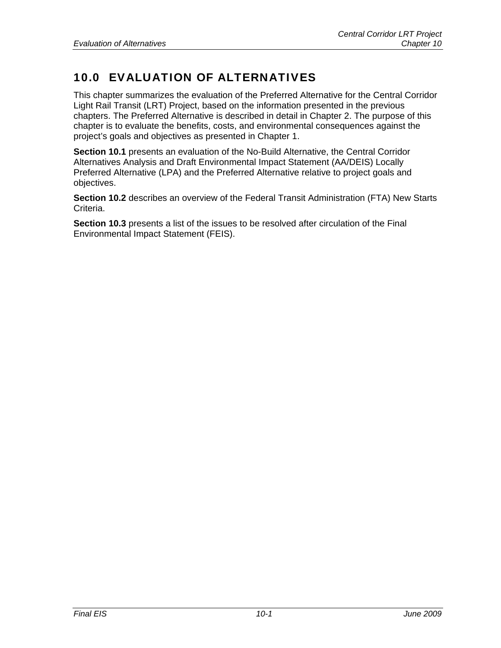# 10.0 EVALUATION OF ALTERNATIVES

This chapter summarizes the evaluation of the Preferred Alternative for the Central Corridor Light Rail Transit (LRT) Project, based on the information presented in the previous chapters. The Preferred Alternative is described in detail in Chapter 2. The purpose of this chapter is to evaluate the benefits, costs, and environmental consequences against the project's goals and objectives as presented in Chapter 1.

**Section 10.1** presents an evaluation of the No-Build Alternative, the Central Corridor Alternatives Analysis and Draft Environmental Impact Statement (AA/DEIS) Locally Preferred Alternative (LPA) and the Preferred Alternative relative to project goals and objectives.

**Section 10.2** describes an overview of the Federal Transit Administration (FTA) New Starts Criteria.

**Section 10.3** presents a list of the issues to be resolved after circulation of the Final Environmental Impact Statement (FEIS).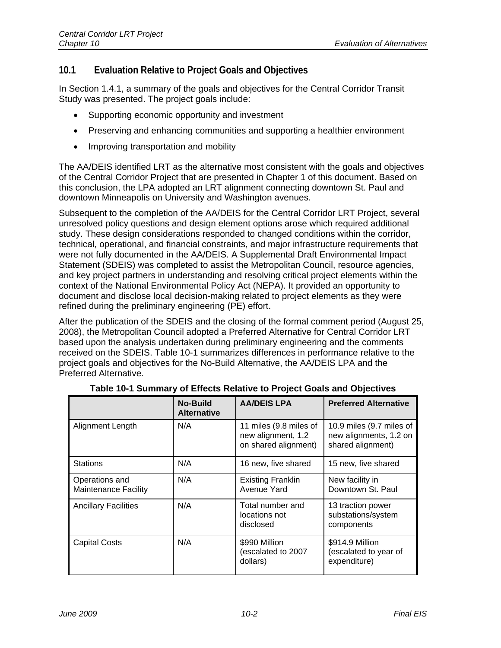## **10.1 Evaluation Relative to Project Goals and Objectives**

In Section 1.4.1, a summary of the goals and objectives for the Central Corridor Transit Study was presented. The project goals include:

- Supporting economic opportunity and investment
- Preserving and enhancing communities and supporting a healthier environment
- Improving transportation and mobility

The AA/DEIS identified LRT as the alternative most consistent with the goals and objectives of the Central Corridor Project that are presented in Chapter 1 of this document. Based on this conclusion, the LPA adopted an LRT alignment connecting downtown St. Paul and downtown Minneapolis on University and Washington avenues.

Subsequent to the completion of the AA/DEIS for the Central Corridor LRT Project, several unresolved policy questions and design element options arose which required additional study. These design considerations responded to changed conditions within the corridor, technical, operational, and financial constraints, and major infrastructure requirements that were not fully documented in the AA/DEIS. A Supplemental Draft Environmental Impact Statement (SDEIS) was completed to assist the Metropolitan Council, resource agencies, and key project partners in understanding and resolving critical project elements within the context of the National Environmental Policy Act (NEPA). It provided an opportunity to document and disclose local decision-making related to project elements as they were refined during the preliminary engineering (PE) effort.

After the publication of the SDEIS and the closing of the formal comment period (August 25, 2008), the Metropolitan Council adopted a Preferred Alternative for Central Corridor LRT based upon the analysis undertaken during preliminary engineering and the comments received on the SDEIS. Table 10-1 summarizes differences in performance relative to the project goals and objectives for the No-Build Alternative, the AA/DEIS LPA and the Preferred Alternative.

|                                               | No-Build<br><b>Alternative</b> | <b>AA/DEIS LPA</b>                                                   | <b>Preferred Alternative</b>                                            |
|-----------------------------------------------|--------------------------------|----------------------------------------------------------------------|-------------------------------------------------------------------------|
| Alignment Length                              | N/A                            | 11 miles (9.8 miles of<br>new alignment, 1.2<br>on shared alignment) | 10.9 miles (9.7 miles of<br>new alignments, 1.2 on<br>shared alignment) |
| <b>Stations</b>                               | N/A                            | 16 new, five shared                                                  | 15 new, five shared                                                     |
| Operations and<br><b>Maintenance Facility</b> | N/A                            | <b>Existing Franklin</b><br>Avenue Yard                              | New facility in<br>Downtown St. Paul                                    |
| <b>Ancillary Facilities</b>                   | N/A                            | Total number and<br>locations not<br>disclosed                       | 13 traction power<br>substations/system<br>components                   |
| <b>Capital Costs</b>                          | N/A                            | \$990 Million<br>(escalated to 2007<br>dollars)                      | \$914.9 Million<br>(escalated to year of<br>expenditure)                |

|  |  |  |  | Table 10-1 Summary of Effects Relative to Project Goals and Objectives |
|--|--|--|--|------------------------------------------------------------------------|
|--|--|--|--|------------------------------------------------------------------------|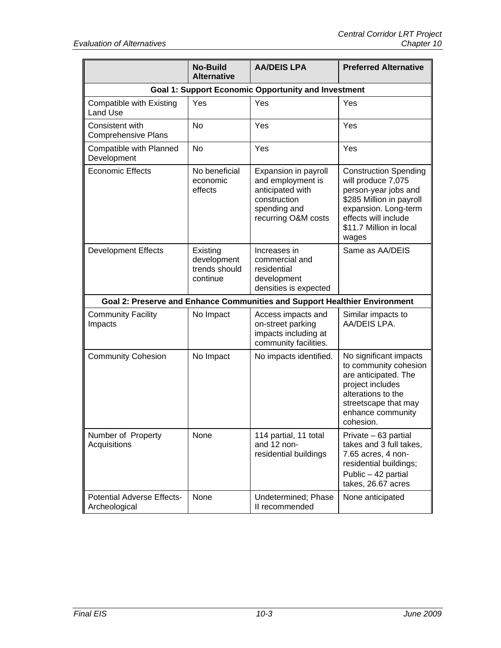|                                                            | <b>No-Build</b><br><b>Alternative</b>                | <b>AA/DEIS LPA</b>                                                                                                   | <b>Preferred Alternative</b>                                                                                                                                                               |
|------------------------------------------------------------|------------------------------------------------------|----------------------------------------------------------------------------------------------------------------------|--------------------------------------------------------------------------------------------------------------------------------------------------------------------------------------------|
| <b>Goal 1: Support Economic Opportunity and Investment</b> |                                                      |                                                                                                                      |                                                                                                                                                                                            |
| Compatible with Existing<br>Land Use                       | Yes                                                  | Yes                                                                                                                  | Yes                                                                                                                                                                                        |
| Consistent with<br><b>Comprehensive Plans</b>              | <b>No</b>                                            | Yes                                                                                                                  | Yes                                                                                                                                                                                        |
| Compatible with Planned<br>Development                     | No                                                   | Yes                                                                                                                  | Yes                                                                                                                                                                                        |
| <b>Economic Effects</b>                                    | No beneficial<br>economic<br>effects                 | Expansion in payroll<br>and employment is<br>anticipated with<br>construction<br>spending and<br>recurring O&M costs | <b>Construction Spending</b><br>will produce 7,075<br>person-year jobs and<br>\$285 Million in payroll<br>expansion. Long-term<br>effects will include<br>\$11.7 Million in local<br>wages |
| <b>Development Effects</b>                                 | Existing<br>development<br>trends should<br>continue | Increases in<br>commercial and<br>residential<br>development<br>densities is expected                                | Same as AA/DEIS                                                                                                                                                                            |
|                                                            |                                                      | Goal 2: Preserve and Enhance Communities and Support Healthier Environment                                           |                                                                                                                                                                                            |
| <b>Community Facility</b><br>Impacts                       | No Impact                                            | Access impacts and<br>on-street parking<br>impacts including at<br>community facilities.                             | Similar impacts to<br>AA/DEIS LPA.                                                                                                                                                         |
| <b>Community Cohesion</b>                                  | No Impact                                            | No impacts identified.                                                                                               | No significant impacts<br>to community cohesion<br>are anticipated. The<br>project includes<br>alterations to the<br>streetscape that may<br>enhance community<br>cohesion.                |
| Number of Property<br>Acquisitions                         | None                                                 | 114 partial, 11 total<br>and 12 non-<br>residential buildings                                                        | Private – 63 partial<br>takes and 3 full takes,<br>7.65 acres, 4 non-<br>residential buildings;<br>Public - 42 partial<br>takes, 26.67 acres                                               |
| <b>Potential Adverse Effects-</b><br>Archeological         | None                                                 | Undetermined; Phase<br>II recommended                                                                                | None anticipated                                                                                                                                                                           |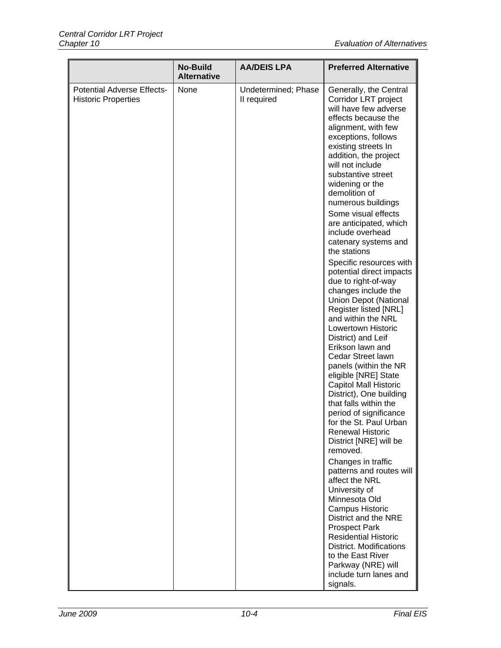|                                                                 | <b>No-Build</b><br><b>Alternative</b> | <b>AA/DEIS LPA</b>                 | <b>Preferred Alternative</b>                                                                                                                                                                                                                                                                                                                                                                                                                                                                                                                                                                                                                                                                                                                                                                                                                                                                                                                                                                                                                                                                                                                                                                                                                                                |
|-----------------------------------------------------------------|---------------------------------------|------------------------------------|-----------------------------------------------------------------------------------------------------------------------------------------------------------------------------------------------------------------------------------------------------------------------------------------------------------------------------------------------------------------------------------------------------------------------------------------------------------------------------------------------------------------------------------------------------------------------------------------------------------------------------------------------------------------------------------------------------------------------------------------------------------------------------------------------------------------------------------------------------------------------------------------------------------------------------------------------------------------------------------------------------------------------------------------------------------------------------------------------------------------------------------------------------------------------------------------------------------------------------------------------------------------------------|
| <b>Potential Adverse Effects-</b><br><b>Historic Properties</b> | None                                  | Undetermined; Phase<br>II required | Generally, the Central<br>Corridor LRT project<br>will have few adverse<br>effects because the<br>alignment, with few<br>exceptions, follows<br>existing streets In<br>addition, the project<br>will not include<br>substantive street<br>widening or the<br>demolition of<br>numerous buildings<br>Some visual effects<br>are anticipated, which<br>include overhead<br>catenary systems and<br>the stations<br>Specific resources with<br>potential direct impacts<br>due to right-of-way<br>changes include the<br><b>Union Depot (National</b><br>Register listed [NRL]<br>and within the NRL<br>Lowertown Historic<br>District) and Leif<br>Erikson lawn and<br>Cedar Street lawn<br>panels (within the NR<br>eligible [NRE] State<br><b>Capitol Mall Historic</b><br>District), One building<br>that falls within the<br>period of significance<br>for the St. Paul Urban<br><b>Renewal Historic</b><br>District [NRE] will be<br>removed.<br>Changes in traffic<br>patterns and routes will<br>affect the NRL<br>University of<br>Minnesota Old<br>Campus Historic<br>District and the NRE<br><b>Prospect Park</b><br><b>Residential Historic</b><br><b>District. Modifications</b><br>to the East River<br>Parkway (NRE) will<br>include turn lanes and<br>signals. |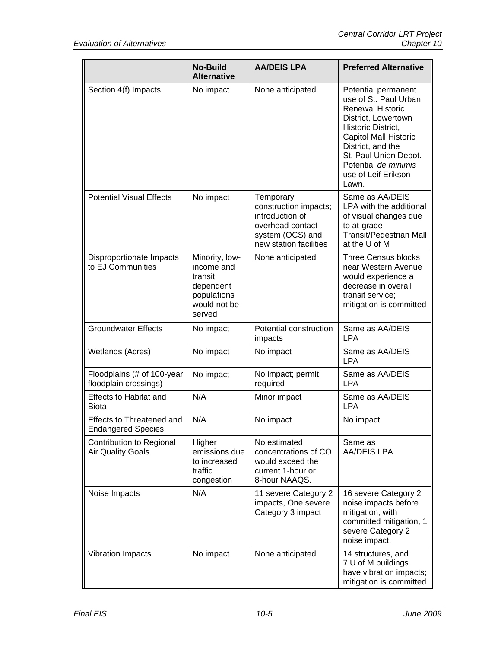|                                                        | <b>No-Build</b><br><b>Alternative</b>                                                         | <b>AA/DEIS LPA</b>                                                                                                      | <b>Preferred Alternative</b>                                                                                                                                                                                                                        |
|--------------------------------------------------------|-----------------------------------------------------------------------------------------------|-------------------------------------------------------------------------------------------------------------------------|-----------------------------------------------------------------------------------------------------------------------------------------------------------------------------------------------------------------------------------------------------|
| Section 4(f) Impacts                                   | No impact                                                                                     | None anticipated                                                                                                        | Potential permanent<br>use of St. Paul Urban<br><b>Renewal Historic</b><br>District, Lowertown<br>Historic District,<br>Capitol Mall Historic<br>District, and the<br>St. Paul Union Depot.<br>Potential de minimis<br>use of Leif Erikson<br>Lawn. |
| <b>Potential Visual Effects</b>                        | No impact                                                                                     | Temporary<br>construction impacts;<br>introduction of<br>overhead contact<br>system (OCS) and<br>new station facilities | Same as AA/DEIS<br>LPA with the additional<br>of visual changes due<br>to at-grade<br><b>Transit/Pedestrian Mall</b><br>at the U of M                                                                                                               |
| Disproportionate Impacts<br>to EJ Communities          | Minority, low-<br>income and<br>transit<br>dependent<br>populations<br>would not be<br>served | None anticipated                                                                                                        | <b>Three Census blocks</b><br>near Western Avenue<br>would experience a<br>decrease in overall<br>transit service;<br>mitigation is committed                                                                                                       |
| <b>Groundwater Effects</b>                             | No impact                                                                                     | Potential construction<br>impacts                                                                                       | Same as AA/DEIS<br><b>LPA</b>                                                                                                                                                                                                                       |
| Wetlands (Acres)                                       | No impact                                                                                     | No impact                                                                                                               | Same as AA/DEIS<br><b>LPA</b>                                                                                                                                                                                                                       |
| Floodplains (# of 100-year<br>floodplain crossings)    | No impact                                                                                     | No impact; permit<br>required                                                                                           | Same as AA/DEIS<br><b>LPA</b>                                                                                                                                                                                                                       |
| <b>Effects to Habitat and</b><br><b>Biota</b>          | N/A                                                                                           | Minor impact                                                                                                            | Same as AA/DEIS<br><b>LPA</b>                                                                                                                                                                                                                       |
| Effects to Threatened and<br><b>Endangered Species</b> | N/A                                                                                           | No impact                                                                                                               | No impact                                                                                                                                                                                                                                           |
| Contribution to Regional<br><b>Air Quality Goals</b>   | Higher<br>emissions due<br>to increased<br>traffic<br>congestion                              | No estimated<br>concentrations of CO<br>would exceed the<br>current 1-hour or<br>8-hour NAAQS.                          | Same as<br>AA/DEIS LPA                                                                                                                                                                                                                              |
| Noise Impacts                                          | N/A                                                                                           | 11 severe Category 2<br>impacts, One severe<br>Category 3 impact                                                        | 16 severe Category 2<br>noise impacts before<br>mitigation; with<br>committed mitigation, 1<br>severe Category 2<br>noise impact.                                                                                                                   |
| Vibration Impacts                                      | No impact                                                                                     | None anticipated                                                                                                        | 14 structures, and<br>7 U of M buildings<br>have vibration impacts;<br>mitigation is committed                                                                                                                                                      |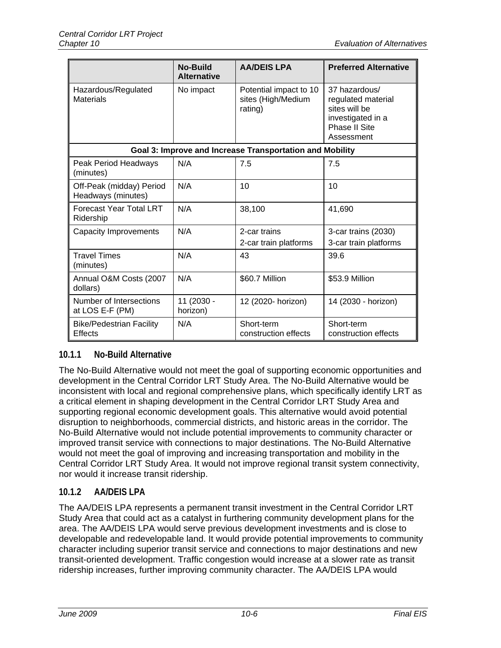|                                                   | No-Build<br><b>Alternative</b> | <b>AA/DEIS LPA</b>                                       | <b>Preferred Alternative</b>                                                                             |
|---------------------------------------------------|--------------------------------|----------------------------------------------------------|----------------------------------------------------------------------------------------------------------|
| Hazardous/Regulated<br><b>Materials</b>           | No impact                      | Potential impact to 10<br>sites (High/Medium<br>rating)  | 37 hazardous/<br>regulated material<br>sites will be<br>investigated in a<br>Phase II Site<br>Assessment |
|                                                   |                                | Goal 3: Improve and Increase Transportation and Mobility |                                                                                                          |
| Peak Period Headways<br>(minutes)                 | N/A                            | 7.5                                                      | 7.5                                                                                                      |
| Off-Peak (midday) Period<br>Headways (minutes)    | N/A                            | 10                                                       | 10                                                                                                       |
| <b>Forecast Year Total LRT</b><br>Ridership       | N/A                            | 38,100                                                   | 41,690                                                                                                   |
| <b>Capacity Improvements</b>                      | N/A                            | 2-car trains<br>2-car train platforms                    | 3-car trains (2030)<br>3-car train platforms                                                             |
| <b>Travel Times</b><br>(minutes)                  | N/A                            | 43                                                       | 39.6                                                                                                     |
| Annual O&M Costs (2007<br>dollars)                | N/A                            | \$60.7 Million                                           | \$53.9 Million                                                                                           |
| Number of Intersections<br>at LOS E-F (PM)        | 11 (2030 -<br>horizon)         | 12 (2020- horizon)                                       | 14 (2030 - horizon)                                                                                      |
| <b>Bike/Pedestrian Facility</b><br><b>Effects</b> | N/A                            | Short-term<br>construction effects                       | Short-term<br>construction effects                                                                       |

## **10.1.1 No-Build Alternative**

The No-Build Alternative would not meet the goal of supporting economic opportunities and development in the Central Corridor LRT Study Area. The No-Build Alternative would be inconsistent with local and regional comprehensive plans, which specifically identify LRT as a critical element in shaping development in the Central Corridor LRT Study Area and supporting regional economic development goals. This alternative would avoid potential disruption to neighborhoods, commercial districts, and historic areas in the corridor. The No-Build Alternative would not include potential improvements to community character or improved transit service with connections to major destinations. The No-Build Alternative would not meet the goal of improving and increasing transportation and mobility in the Central Corridor LRT Study Area. It would not improve regional transit system connectivity, nor would it increase transit ridership.

## **10.1.2 AA/DEIS LPA**

The AA/DEIS LPA represents a permanent transit investment in the Central Corridor LRT Study Area that could act as a catalyst in furthering community development plans for the area. The AA/DEIS LPA would serve previous development investments and is close to developable and redevelopable land. It would provide potential improvements to community character including superior transit service and connections to major destinations and new transit-oriented development. Traffic congestion would increase at a slower rate as transit ridership increases, further improving community character. The AA/DEIS LPA would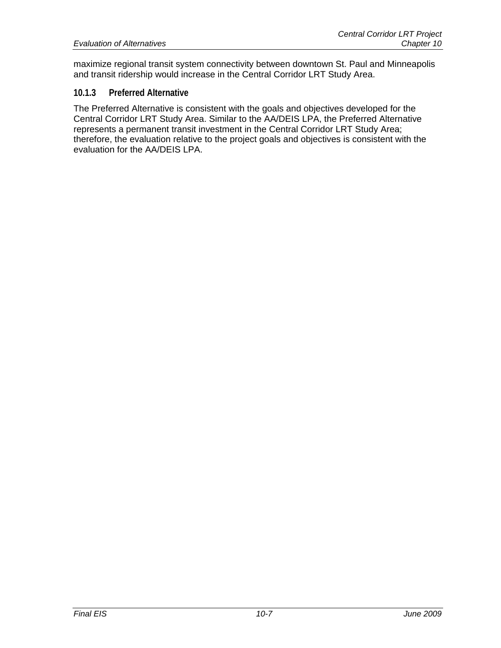maximize regional transit system connectivity between downtown St. Paul and Minneapolis and transit ridership would increase in the Central Corridor LRT Study Area.

#### **10.1.3 Preferred Alternative**

The Preferred Alternative is consistent with the goals and objectives developed for the Central Corridor LRT Study Area. Similar to the AA/DEIS LPA, the Preferred Alternative represents a permanent transit investment in the Central Corridor LRT Study Area; therefore, the evaluation relative to the project goals and objectives is consistent with the evaluation for the AA/DEIS LPA.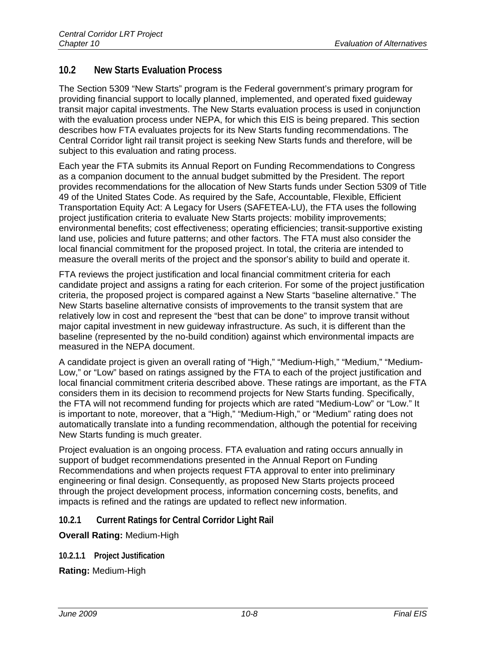## **10.2 New Starts Evaluation Process**

The Section 5309 "New Starts" program is the Federal government's primary program for providing financial support to locally planned, implemented, and operated fixed guideway transit major capital investments. The New Starts evaluation process is used in conjunction with the evaluation process under NEPA, for which this EIS is being prepared. This section describes how FTA evaluates projects for its New Starts funding recommendations. The Central Corridor light rail transit project is seeking New Starts funds and therefore, will be subject to this evaluation and rating process.

Each year the FTA submits its Annual Report on Funding Recommendations to Congress as a companion document to the annual budget submitted by the President. The report provides recommendations for the allocation of New Starts funds under Section 5309 of Title 49 of the United States Code. As required by the Safe, Accountable, Flexible, Efficient Transportation Equity Act: A Legacy for Users (SAFETEA-LU), the FTA uses the following project justification criteria to evaluate New Starts projects: mobility improvements; environmental benefits; cost effectiveness; operating efficiencies; transit-supportive existing land use, policies and future patterns; and other factors. The FTA must also consider the local financial commitment for the proposed project. In total, the criteria are intended to measure the overall merits of the project and the sponsor's ability to build and operate it.

FTA reviews the project justification and local financial commitment criteria for each candidate project and assigns a rating for each criterion. For some of the project justification criteria, the proposed project is compared against a New Starts "baseline alternative." The New Starts baseline alternative consists of improvements to the transit system that are relatively low in cost and represent the "best that can be done" to improve transit without major capital investment in new guideway infrastructure. As such, it is different than the baseline (represented by the no-build condition) against which environmental impacts are measured in the NEPA document.

A candidate project is given an overall rating of "High," "Medium-High," "Medium," "Medium-Low," or "Low" based on ratings assigned by the FTA to each of the project justification and local financial commitment criteria described above. These ratings are important, as the FTA considers them in its decision to recommend projects for New Starts funding. Specifically, the FTA will not recommend funding for projects which are rated "Medium-Low" or "Low." It is important to note, moreover, that a "High," "Medium-High," or "Medium" rating does not automatically translate into a funding recommendation, although the potential for receiving New Starts funding is much greater.

Project evaluation is an ongoing process. FTA evaluation and rating occurs annually in support of budget recommendations presented in the Annual Report on Funding Recommendations and when projects request FTA approval to enter into preliminary engineering or final design. Consequently, as proposed New Starts projects proceed through the project development process, information concerning costs, benefits, and impacts is refined and the ratings are updated to reflect new information.

### **10.2.1 Current Ratings for Central Corridor Light Rail**

**Overall Rating:** Medium-High

**10.2.1.1 Project Justification** 

**Rating:** Medium-High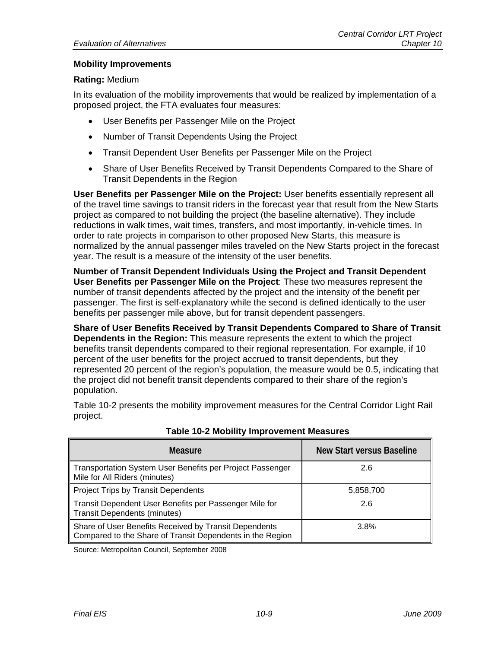#### **Mobility Improvements**

#### **Rating:** Medium

In its evaluation of the mobility improvements that would be realized by implementation of a proposed project, the FTA evaluates four measures:

- User Benefits per Passenger Mile on the Project
- Number of Transit Dependents Using the Project
- Transit Dependent User Benefits per Passenger Mile on the Project
- Share of User Benefits Received by Transit Dependents Compared to the Share of Transit Dependents in the Region

**User Benefits per Passenger Mile on the Project:** User benefits essentially represent all of the travel time savings to transit riders in the forecast year that result from the New Starts project as compared to not building the project (the baseline alternative). They include reductions in walk times, wait times, transfers, and most importantly, in-vehicle times. In order to rate projects in comparison to other proposed New Starts, this measure is normalized by the annual passenger miles traveled on the New Starts project in the forecast year. The result is a measure of the intensity of the user benefits.

**Number of Transit Dependent Individuals Using the Project and Transit Dependent User Benefits per Passenger Mile on the Project**: These two measures represent the number of transit dependents affected by the project and the intensity of the benefit per passenger. The first is self-explanatory while the second is defined identically to the user benefits per passenger mile above, but for transit dependent passengers.

**Share of User Benefits Received by Transit Dependents Compared to Share of Transit Dependents in the Region:** This measure represents the extent to which the project benefits transit dependents compared to their regional representation. For example, if 10 percent of the user benefits for the project accrued to transit dependents, but they represented 20 percent of the region's population, the measure would be 0.5, indicating that the project did not benefit transit dependents compared to their share of the region's population.

Table 10-2 presents the mobility improvement measures for the Central Corridor Light Rail project.

| <b>Measure</b>                                                                                                     | New Start versus Baseline |
|--------------------------------------------------------------------------------------------------------------------|---------------------------|
| Transportation System User Benefits per Project Passenger<br>Mile for All Riders (minutes)                         | 2.6                       |
| <b>Project Trips by Transit Dependents</b>                                                                         | 5,858,700                 |
| Transit Dependent User Benefits per Passenger Mile for<br><b>Transit Dependents (minutes)</b>                      | 2.6                       |
| Share of User Benefits Received by Transit Dependents<br>Compared to the Share of Transit Dependents in the Region | 3.8%                      |

#### **Table 10-2 Mobility Improvement Measures**

Source: Metropolitan Council, September 2008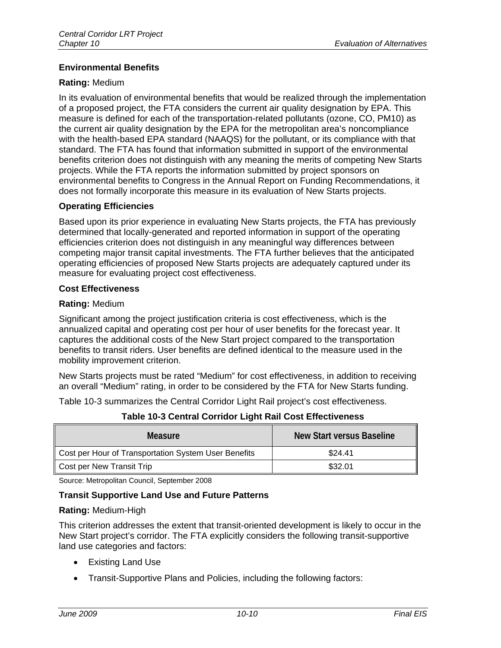#### **Environmental Benefits**

#### **Rating:** Medium

In its evaluation of environmental benefits that would be realized through the implementation of a proposed project, the FTA considers the current air quality designation by EPA. This measure is defined for each of the transportation-related pollutants (ozone, CO, PM10) as the current air quality designation by the EPA for the metropolitan area's noncompliance with the health-based EPA standard (NAAQS) for the pollutant, or its compliance with that standard. The FTA has found that information submitted in support of the environmental benefits criterion does not distinguish with any meaning the merits of competing New Starts projects. While the FTA reports the information submitted by project sponsors on environmental benefits to Congress in the Annual Report on Funding Recommendations, it does not formally incorporate this measure in its evaluation of New Starts projects.

#### **Operating Efficiencies**

Based upon its prior experience in evaluating New Starts projects, the FTA has previously determined that locally-generated and reported information in support of the operating efficiencies criterion does not distinguish in any meaningful way differences between competing major transit capital investments. The FTA further believes that the anticipated operating efficiencies of proposed New Starts projects are adequately captured under its measure for evaluating project cost effectiveness.

#### **Cost Effectiveness**

#### **Rating:** Medium

Significant among the project justification criteria is cost effectiveness, which is the annualized capital and operating cost per hour of user benefits for the forecast year. It captures the additional costs of the New Start project compared to the transportation benefits to transit riders. User benefits are defined identical to the measure used in the mobility improvement criterion.

New Starts projects must be rated "Medium" for cost effectiveness, in addition to receiving an overall "Medium" rating, in order to be considered by the FTA for New Starts funding.

Table 10-3 summarizes the Central Corridor Light Rail project's cost effectiveness.

| <b>Measure</b>                                       | New Start versus Baseline |
|------------------------------------------------------|---------------------------|
| Cost per Hour of Transportation System User Benefits | \$24.41                   |
| Cost per New Transit Trip                            | \$32.01                   |

**Table 10-3 Central Corridor Light Rail Cost Effectiveness** 

Source: Metropolitan Council, September 2008

#### **Transit Supportive Land Use and Future Patterns**

#### **Rating:** Medium-High

This criterion addresses the extent that transit-oriented development is likely to occur in the New Start project's corridor. The FTA explicitly considers the following transit-supportive land use categories and factors:

- Existing Land Use
- Transit-Supportive Plans and Policies, including the following factors: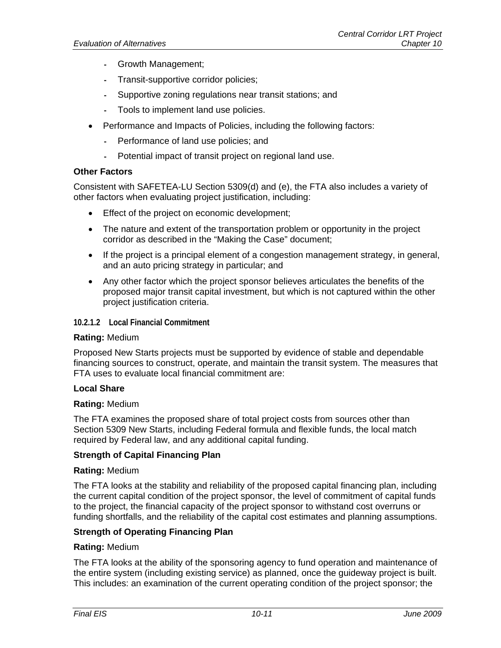- **-** Growth Management;
- **-** Transit-supportive corridor policies;
- **-** Supportive zoning regulations near transit stations; and
- **-** Tools to implement land use policies.
- Performance and Impacts of Policies, including the following factors:
	- **-** Performance of land use policies; and
	- **-** Potential impact of transit project on regional land use.

#### **Other Factors**

Consistent with SAFETEA-LU Section 5309(d) and (e), the FTA also includes a variety of other factors when evaluating project justification, including:

- **Effect of the project on economic development;**
- The nature and extent of the transportation problem or opportunity in the project corridor as described in the "Making the Case" document;
- If the project is a principal element of a congestion management strategy, in general, and an auto pricing strategy in particular; and
- Any other factor which the project sponsor believes articulates the benefits of the proposed major transit capital investment, but which is not captured within the other project justification criteria.

**10.2.1.2 Local Financial Commitment** 

#### **Rating:** Medium

Proposed New Starts projects must be supported by evidence of stable and dependable financing sources to construct, operate, and maintain the transit system. The measures that FTA uses to evaluate local financial commitment are:

#### **Local Share**

#### **Rating:** Medium

The FTA examines the proposed share of total project costs from sources other than Section 5309 New Starts, including Federal formula and flexible funds, the local match required by Federal law, and any additional capital funding.

#### **Strength of Capital Financing Plan**

#### **Rating:** Medium

The FTA looks at the stability and reliability of the proposed capital financing plan, including the current capital condition of the project sponsor, the level of commitment of capital funds to the project, the financial capacity of the project sponsor to withstand cost overruns or funding shortfalls, and the reliability of the capital cost estimates and planning assumptions.

#### **Strength of Operating Financing Plan**

#### **Rating:** Medium

The FTA looks at the ability of the sponsoring agency to fund operation and maintenance of the entire system (including existing service) as planned, once the guideway project is built. This includes: an examination of the current operating condition of the project sponsor; the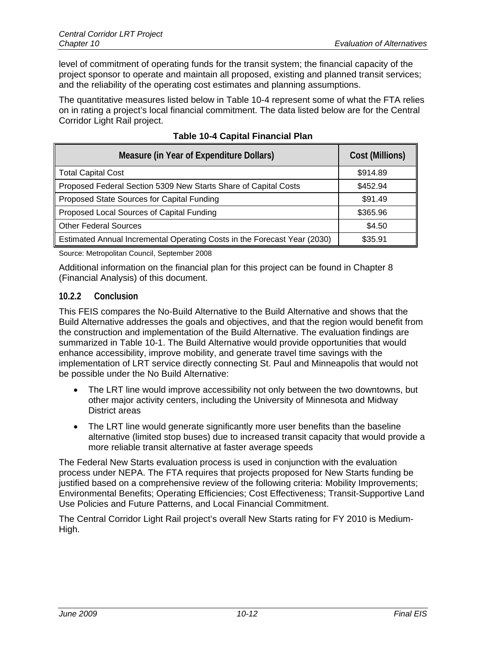level of commitment of operating funds for the transit system; the financial capacity of the project sponsor to operate and maintain all proposed, existing and planned transit services; and the reliability of the operating cost estimates and planning assumptions.

The quantitative measures listed below in Table 10-4 represent some of what the FTA relies on in rating a project's local financial commitment. The data listed below are for the Central Corridor Light Rail project.

| Measure (in Year of Expenditure Dollars)                                 | Cost (Millions) |
|--------------------------------------------------------------------------|-----------------|
| <b>Total Capital Cost</b>                                                | \$914.89        |
| Proposed Federal Section 5309 New Starts Share of Capital Costs          | \$452.94        |
| Proposed State Sources for Capital Funding                               | \$91.49         |
| Proposed Local Sources of Capital Funding                                | \$365.96        |
| <b>Other Federal Sources</b>                                             | \$4.50          |
| Estimated Annual Incremental Operating Costs in the Forecast Year (2030) | \$35.91         |

#### **Table 10-4 Capital Financial Plan**

Source: Metropolitan Council, September 2008

Additional information on the financial plan for this project can be found in Chapter 8 (Financial Analysis) of this document.

#### **10.2.2 Conclusion**

This FEIS compares the No-Build Alternative to the Build Alternative and shows that the Build Alternative addresses the goals and objectives, and that the region would benefit from the construction and implementation of the Build Alternative. The evaluation findings are summarized in Table 10-1. The Build Alternative would provide opportunities that would enhance accessibility, improve mobility, and generate travel time savings with the implementation of LRT service directly connecting St. Paul and Minneapolis that would not be possible under the No Build Alternative:

- The LRT line would improve accessibility not only between the two downtowns, but other major activity centers, including the University of Minnesota and Midway District areas
- The LRT line would generate significantly more user benefits than the baseline alternative (limited stop buses) due to increased transit capacity that would provide a more reliable transit alternative at faster average speeds

The Federal New Starts evaluation process is used in conjunction with the evaluation process under NEPA. The FTA requires that projects proposed for New Starts funding be justified based on a comprehensive review of the following criteria: Mobility Improvements; Environmental Benefits; Operating Efficiencies; Cost Effectiveness; Transit-Supportive Land Use Policies and Future Patterns, and Local Financial Commitment.

The Central Corridor Light Rail project's overall New Starts rating for FY 2010 is Medium-High.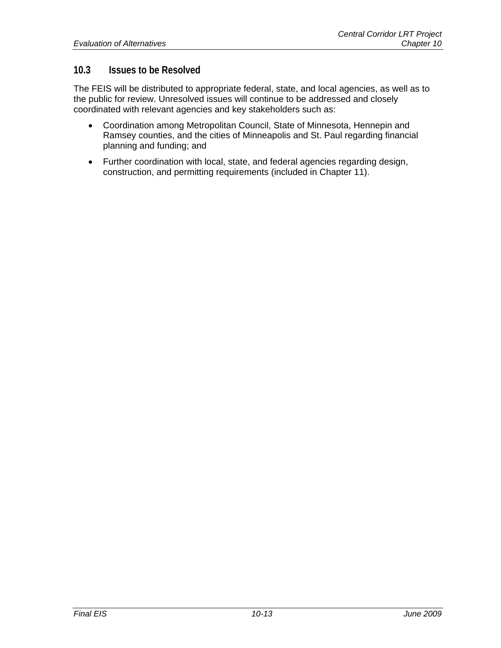## **10.3 Issues to be Resolved**

The FEIS will be distributed to appropriate federal, state, and local agencies, as well as to the public for review. Unresolved issues will continue to be addressed and closely coordinated with relevant agencies and key stakeholders such as:

- Coordination among Metropolitan Council, State of Minnesota, Hennepin and Ramsey counties, and the cities of Minneapolis and St. Paul regarding financial planning and funding; and
- Further coordination with local, state, and federal agencies regarding design, construction, and permitting requirements (included in Chapter 11).